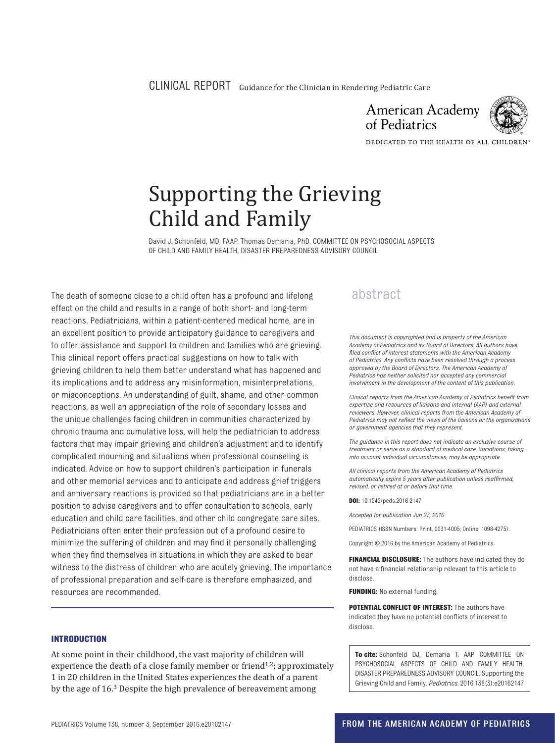CLINICAL REPORT Guidance for the Clinician in Rendering Pediatric Care

**American Academy** of Pediatrics



DEDICATED TO THE HEALTH OF ALL CHILDREN"

# Supporting the Grieving Child and Family

David J. Schonfeld, MD, FAAP, Thomas Demaria, PhD, COMMITTEE ON PSYCHOSOCIAL ASPECTS OF CHILD AND FAMILY HEALTH, DISASTER PREPAREDNESS ADVISORY COUNCIL

The death of someone close to a child often has a profound and lifelong  $a\bar{b}$ stract effect on the child and results in a range of both short- and long-term reactions. Pediatricians, within a patient-centered medical home, are in an excellent position to provide anticipatory guidance to caregivers and to offer assistance and support to children and families who are grieving. This clinical report offers practical suggestions on how to talk with grieving children to help them better understand what has happened and its implications and to address any misinformation, misinterpretations, or misconceptions. An understanding of guilt, shame, and other common reactions, as well an appreciation of the role of secondary losses and the unique challenges facing children in communities characterized by chronic trauma and cumulative loss, will help the pediatrician to address factors that may impair grieving and children's adjustment and to identify complicated mourning and situations when professional counseling is indicated. Advice on how to support children's participation in funerals and other memorial services and to anticipate and address grief triggers and anniversary reactions is provided so that pediatricians are in a better position to advise caregivers and to offer consultation to schools, early education and child care facilities, and other child congregate care sites. Pediatricians often enter their profession out of a profound desire to minimize the suffering of children and may find it personally challenging when they find themselves in situations in which they are asked to bear witness to the distress of children who are acutely grieving. The importance of professional preparation and self-care is therefore emphasized, and resources are recommended.

# **INTRODUCTION**

At some point in their childhood, the vast majority of children will experience the death of a close family member or friend<sup>1,2</sup>; approximately 1 in 20 children in the United States experiences the death of a parent by the age of  $16<sup>3</sup>$  Despite the high prevalence of bereavement among

*This document is copyrighted and is property of the American Academy of Pediatrics and its Board of Directors. All authors have fi led confl ict of interest statements with the American Academy of Pediatrics. Any confl icts have been resolved through a process approved by the Board of Directors. The American Academy of Pediatrics has neither solicited nor accepted any commercial involvement in the development of the content of this publication.*

*Clinical reports from the American Academy of Pediatrics benefi t from expertise and resources of liaisons and internal (AAP) and external reviewers. However, clinical reports from the American Academy of*  Pediatrics may not reflect the views of the liaisons or the organizations *or government agencies that they represent.*

*The guidance in this report does not indicate an exclusive course of treatment or serve as a standard of medical care. Variations, taking into account individual circumstances, may be appropriate.*

*All clinical reports from the American Academy of Pediatrics automatically expire 5 years after publication unless reaffirmed. revised, or retired at or before that time.*

**DOI:** 10.1542/peds.2016-2147

*Accepted for publication Jun 27, 2016*

PEDIATRICS (ISSN Numbers: Print, 0031-4005; Online, 1098-4275).

Copyright © 2016 by the American Academy of Pediatrics

**FINANCIAL DISCLOSURE:** The authors have indicated they do not have a financial relationship relevant to this article to disclose.

**FUNDING:** No external funding.

**POTENTIAL CONFLICT OF INTEREST:** The authors have indicated they have no potential conflicts of interest to disclose.

**To cite:** Schonfeld DJ, Demaria T, AAP COMMITTEE ON PSYCHOSOCIAL ASPECTS OF CHILD AND FAMILY HEALTH, DISASTER PREPAREDNESS ADVISORY COUNCIL. Supporting the Grieving Child and Family. *Pediatrics.* 2016;138(3):e20162147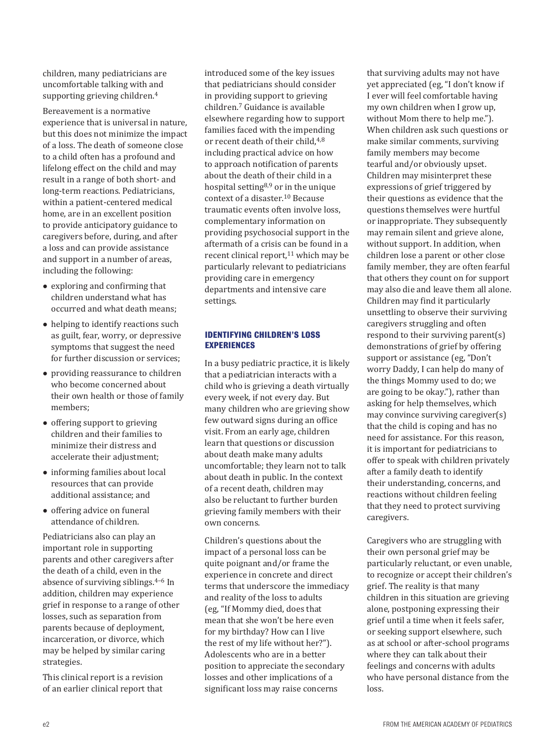children, many pediatricians are uncomfortable talking with and supporting grieving children.<sup>4</sup>

Bereavement is a normative experience that is universal in nature, but this does not minimize the impact of a loss. The death of someone close to a child often has a profound and lifelong effect on the child and may result in a range of both short- and long-term reactions. Pediatricians, within a patient-centered medical home, are in an excellent position to provide anticipatory guidance to caregivers before, during, and after a loss and can provide assistance and support in a number of areas, including the following:

- exploring and confirming that children understand what has occurred and what death means;
- helping to identify reactions such as guilt, fear, worry, or depressive symptoms that suggest the need for further discussion or services;
- providing reassurance to children who become concerned about their own health or those of family members;
- offering support to grieving children and their families to minimize their distress and accelerate their adjustment;
- informing families about local resources that can provide additional assistance; and
- offering advice on funeral attendance of children.

Pediatricians also can play an important role in supporting parents and other caregivers after the death of a child, even in the absence of surviving siblings. 4–6 In addition, children may experience grief in response to a range of other losses, such as separation from parents because of deployment, incarceration, or divorce, which may be helped by similar caring strategies.

This clinical report is a revision of an earlier clinical report that

introduced some of the key issues that pediatricians should consider in providing support to grieving children.<sup>7</sup> Guidance is available elsewhere regarding how to support families faced with the impending or recent death of their child. $4,8$ including practical advice on how to approach notification of parents about the death of their child in a hospital setting<sup>8,9</sup> or in the unique context of a disaster. 10 Because traumatic events often involve loss, complementary information on providing psychosocial support in the aftermath of a crisis can be found in a recent clinical report, $11$  which may be particularly relevant to pediatricians providing care in emergency departments and intensive care settings.

# **IDENTIFYING CHILDREN'S LOSS EXPERIENCES**

In a busy pediatric practice, it is likely that a pediatrician interacts with a child who is grieving a death virtually every week, if not every day. But many children who are grieving show few outward signs during an office visit. From an early age, children learn that questions or discussion about death make many adults uncomfortable; they learn not to talk about death in public. In the context of a recent death, children may also be reluctant to further burden grieving family members with their own concerns.

Children's questions about the impact of a personal loss can be quite poignant and/or frame the experience in concrete and direct terms that underscore the immediacy and reality of the loss to adults (eg, "If Mommy died, does that mean that she won't be here even for my birthday? How can I live the rest of my life without her?"). Adolescents who are in a better position to appreciate the secondary losses and other implications of a significant loss may raise concerns

that surviving adults may not have yet appreciated (eg, "I don't know if I ever will feel comfortable having my own children when I grow up, without Mom there to help me."). When children ask such questions or make similar comments, surviving family members may become tearful and/or obviously upset. Children may misinterpret these expressions of grief triggered by their questions as evidence that the questions themselves were hurtful or inappropriate. They subsequently may remain silent and grieve alone, without support. In addition, when children lose a parent or other close family member, they are often fearful that others they count on for support may also die and leave them all alone. Children may find it particularly unsettling to observe their surviving caregivers struggling and often respond to their surviving parent(s) demonstrations of grief by offering support or assistance (eg, "Don't worry Daddy, I can help do many of the things Mommy used to do; we are going to be okay."), rather than asking for help themselves, which may convince surviving caregiver(s) that the child is coping and has no need for assistance. For this reason, it is important for pediatricians to offer to speak with children privately after a family death to identify their understanding, concerns, and reactions without children feeling that they need to protect surviving caregivers.

Caregivers who are struggling with their own personal grief may be particularly reluctant, or even unable, to recognize or accept their children's grief. The reality is that many children in this situation are grieving alone, postponing expressing their grief until a time when it feels safer, or seeking support elsewhere, such as at school or after-school programs where they can talk about their feelings and concerns with adults who have personal distance from the loss.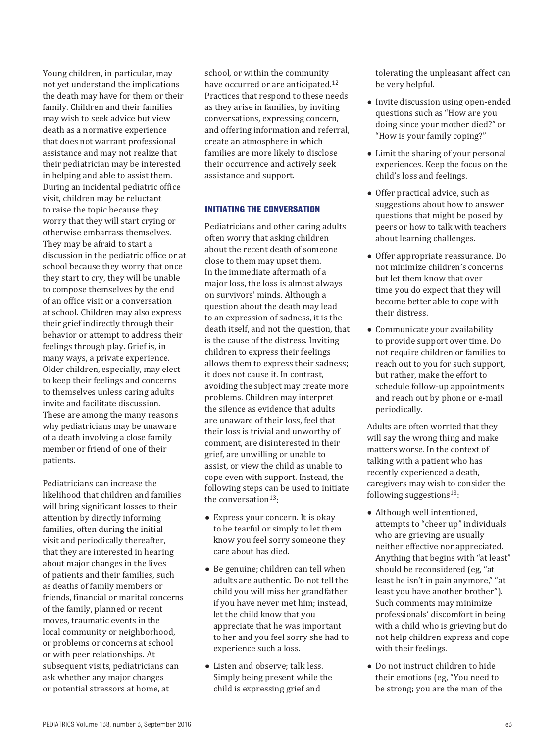Young children, in particular, may not yet understand the implications the death may have for them or their family. Children and their families may wish to seek advice but view death as a normative experience that does not warrant professional assistance and may not realize that their pediatrician may be interested in helping and able to assist them. During an incidental pediatric office visit, children may be reluctant to raise the topic because they worry that they will start crying or otherwise embarrass themselves. They may be afraid to start a discussion in the pediatric office or at school because they worry that once they start to cry, they will be unable to compose themselves by the end of an office visit or a conversation at school. Children may also express their grief indirectly through their behavior or attempt to address their feelings through play. Grief is, in many ways, a private experience. Older children, especially, may elect to keep their feelings and concerns to themselves unless caring adults invite and facilitate discussion. These are among the many reasons why pediatricians may be unaware of a death involving a close family member or friend of one of their patients.

Pediatricians can increase the likelihood that children and families will bring significant losses to their attention by directly informing families, often during the initial visit and periodically thereafter, that they are interested in hearing about major changes in the lives of patients and their families, such as deaths of family members or friends, financial or marital concerns of the family, planned or recent moves, traumatic events in the local community or neighborhood, or problems or concerns at school or with peer relationships. At subsequent visits, pediatricians can ask whether any major changes or potential stressors at home, at

school, or within the community have occurred or are anticipated.<sup>12</sup> Practices that respond to these needs as they arise in families, by inviting conversations, expressing concern, and offering information and referral, create an atmosphere in which families are more likely to disclose their occurrence and actively seek assistance and support.

# **INITIATING THE CONVERSATION**

Pediatricians and other caring adults often worry that asking children about the recent death of someone close to them may upset them. In the immediate aftermath of a major loss, the loss is almost always on survivors' minds. Although a question about the death may lead to an expression of sadness, it is the death itself, and not the question, that is the cause of the distress. Inviting children to express their feelings allows them to express their sadness; it does not cause it. In contrast, avoiding the subject may create more problems. Children may interpret the silence as evidence that adults are unaware of their loss, feel that their loss is trivial and unworthy of comment, are disinterested in their grief, are unwilling or unable to assist, or view the child as unable to cope even with support. Instead, the following steps can be used to initiate the conversation $13$ :

- Express your concern. It is okay to be tearful or simply to let them know you feel sorry someone they care about has died.
- Be genuine; children can tell when adults are authentic. Do not tell the child you will miss her grandfather if you have never met him; instead, let the child know that you appreciate that he was important to her and you feel sorry she had to experience such a loss.
- Listen and observe; talk less. Simply being present while the child is expressing grief and

tolerating the unpleasant affect can be very helpful.

- Invite discussion using open-ended questions such as "How are you doing since your mother died?" or "How is your family coping?"
- Limit the sharing of your personal experiences. Keep the focus on the child's loss and feelings.
- Offer practical advice, such as suggestions about how to answer questions that might be posed by peers or how to talk with teachers about learning challenges.
- Offer appropriate reassurance. Do not minimize children's concerns but let them know that over time you do expect that they will become better able to cope with their distress.
- Communicate your availability to provide support over time. Do not require children or families to reach out to you for such support, but rather, make the effort to schedule follow-up appointments and reach out by phone or e-mail periodically.

Adults are often worried that they will say the wrong thing and make matters worse. In the context of talking with a patient who has recently experienced a death, caregivers may wish to consider the following suggestions $13$ :

- Although well intentioned, attempts to "cheer up" individuals who are grieving are usually neither effective nor appreciated. Anything that begins with "at least" should be reconsidered (eg, "at least he isn't in pain anymore," "at least you have another brother"). Such comments may minimize professionals' discomfort in being with a child who is grieving but do not help children express and cope with their feelings.
- Do not instruct children to hide their emotions (eg, "You need to be strong; you are the man of the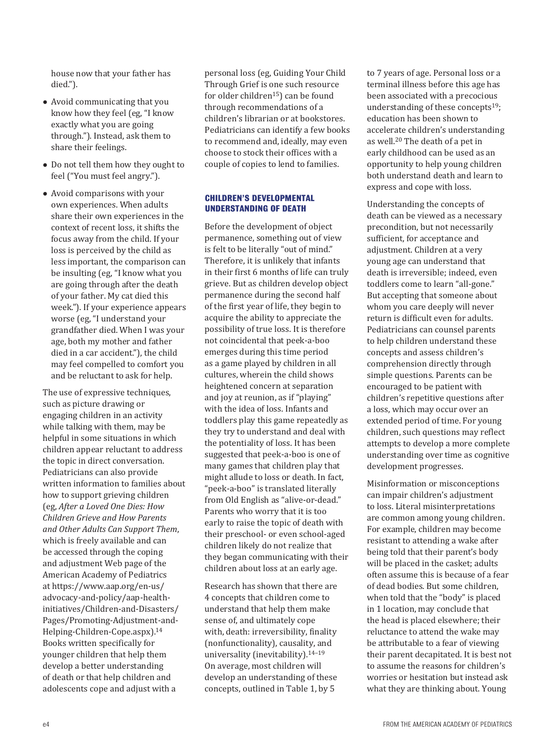house now that your father has died.").

- Avoid communicating that you know how they feel (eg, "I know exactly what you are going through."). Instead, ask them to share their feelings.
- Do not tell them how they ought to feel ("You must feel angry.").
- Avoid comparisons with your own experiences. When adults share their own experiences in the context of recent loss, it shifts the focus away from the child. If your loss is perceived by the child as less important, the comparison can be insulting (eg, "I know what you are going through after the death of your father. My cat died this week."). If your experience appears worse (eg, "I understand your grandfather died. When I was your age, both my mother and father died in a car accident."), the child may feel compelled to comfort you and be reluctant to ask for help.

The use of expressive techniques, such as picture drawing or engaging children in an activity while talking with them, may be helpful in some situations in which children appear reluctant to address the topic in direct conversation. Pediatricians can also provide written information to families about how to support grieving children (eg, *After a Loved One Dies: How Children Grieve and How Parents and Other Adults Can Support Them*, which is freely available and can be accessed through the coping and adjustment Web page of the American Academy of Pediatrics at https://www.aap.org/en-us/ advocacy-and-policy/aap-healthinitiatives/ Children- and- Disasters/ Pages/Promoting-Adjustment-and-Helping-Children-Cope.aspx).<sup>14</sup> Books written specifically for younger children that help them develop a better understanding of death or that help children and adolescents cope and adjust with a

personal loss (eg, Guiding Your Child Through Grief is one such resource for older children $15$ ) can be found through recommendations of a children's librarian or at bookstores. Pediatricians can identify a few books to recommend and, ideally, may even choose to stock their offices with a couple of copies to lend to families.

#### **CHILDREN'S DEVELOPMENTAL UNDERSTANDING OF DEATH**

Before the development of object permanence, something out of view is felt to be literally "out of mind." Therefore, it is unlikely that infants in their first 6 months of life can truly grieve. But as children develop object permanence during the second half of the first year of life, they begin to acquire the ability to appreciate the possibility of true loss. It is therefore not coincidental that peek-a-boo emerges during this time period as a game played by children in all cultures, wherein the child shows heightened concern at separation and joy at reunion, as if "playing" with the idea of loss. Infants and toddlers play this game repeatedly as they try to understand and deal with the potentiality of loss. It has been suggested that peek-a-boo is one of many games that children play that might allude to loss or death. In fact, "peek-a-boo" is translated literally from Old English as "alive-or-dead." Parents who worry that it is too early to raise the topic of death with their preschool- or even school-aged children likely do not realize that they began communicating with their children about loss at an early age.

Research has shown that there are 4 concepts that children come to understand that help them make sense of, and ultimately cope with, death: irreversibility, finality (nonfunctionality), causality, and universality (inevitability). 14–19 On average, most children will develop an understanding of these concepts, outlined in Table 1, by 5

to 7 years of age. Personal loss or a terminal illness before this age has been associated with a precocious understanding of these concepts<sup>19</sup>; education has been shown to accelerate children's understanding as well. 20 The death of a pet in early childhood can be used as an opportunity to help young children both understand death and learn to express and cope with loss.

Understanding the concepts of death can be viewed as a necessary precondition, but not necessarily sufficient, for acceptance and adjustment. Children at a very young age can understand that death is irreversible; indeed, even toddlers come to learn "all-gone." But accepting that someone about whom you care deeply will never return is difficult even for adults. Pediatricians can counsel parents to help children understand these concepts and assess children's comprehension directly through simple questions. Parents can be encouraged to be patient with children's repetitive questions after a loss, which may occur over an extended period of time. For young children, such questions may reflect attempts to develop a more complete understanding over time as cognitive development progresses.

Misinformation or misconceptions can impair children's adjustment to loss. Literal misinterpretations are common among young children. For example, children may become resistant to attending a wake after being told that their parent's body will be placed in the casket; adults often assume this is because of a fear of dead bodies. But some children, when told that the "body" is placed in 1 location, may conclude that the head is placed elsewhere; their reluctance to attend the wake may be attributable to a fear of viewing their parent decapitated. It is best not to assume the reasons for children's worries or hesitation but instead ask what they are thinking about. Young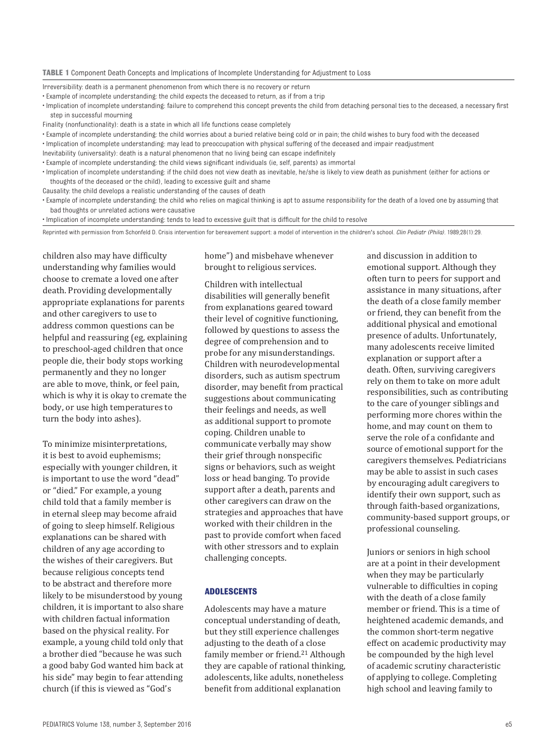#### **TABLE 1** Component Death Concepts and Implications of Incomplete Understanding for Adjustment to Loss

Irreversibility: death is a permanent phenomenon from which there is no recovery or return

- Implication of incomplete understanding: failure to comprehend this concept prevents the child from detaching personal ties to the deceased, a necessary fi rst step in successful mourning
- Finality (nonfunctionality): death is a state in which all life functions cease completely
- Example of incomplete understanding: the child worries about a buried relative being cold or in pain; the child wishes to bury food with the deceased
- Implication of incomplete understanding: may lead to preoccupation with physical suffering of the deceased and impair readjustment
- Inevitability (universality): death is a natural phenomenon that no living being can escape indefinitely
- Example of incomplete understanding: the child views significant individuals (ie, self, parents) as immortal
- Implication of incomplete understanding: if the child does not view death as inevitable, he/she is likely to view death as punishment (either for actions or thoughts of the deceased or the child), leading to excessive guilt and shame
- Causality: the child develops a realistic understanding of the causes of death
- Example of incomplete understanding: the child who relies on magical thinking is apt to assume responsibility for the death of a loved one by assuming that bad thoughts or unrelated actions were causative
- · Implication of incomplete understanding: tends to lead to excessive guilt that is difficult for the child to resolve

Reprinted with permission from Schonfeld D. Crisis intervention for bereavement support: a model of intervention in the children's school. *Clin Pediatr (Phila).* 1989;28(1):29.

children also may have difficulty understanding why families would choose to cremate a loved one after death. Providing developmentally appropriate explanations for parents and other caregivers to use to address common questions can be helpful and reassuring (eg, explaining to preschool-aged children that once people die, their body stops working permanently and they no longer are able to move, think, or feel pain, which is why it is okay to cremate the body, or use high temperatures to turn the body into ashes).

To minimize misinterpretations, it is best to avoid euphemisms; especially with younger children, it is important to use the word "dead" or "died." For example, a young child told that a family member is in eternal sleep may become afraid of going to sleep himself. Religious explanations can be shared with children of any age according to the wishes of their caregivers. But because religious concepts tend to be abstract and therefore more likely to be misunderstood by young children, it is important to also share with children factual information based on the physical reality. For example, a young child told only that a brother died "because he was such a good baby God wanted him back at his side" may begin to fear attending church (if this is viewed as "God's

home") and misbehave whenever brought to religious services.

Children with intellectual disabilities will generally benefit from explanations geared toward their level of cognitive functioning, followed by questions to assess the degree of comprehension and to probe for any misunderstandings. Children with neurodevelopmental disorders, such as autism spectrum disorder, may benefit from practical suggestions about communicating their feelings and needs, as well as additional support to promote coping. Children unable to communicate verbally may show their grief through nonspecific signs or behaviors, such as weight loss or head banging. To provide support after a death, parents and other caregivers can draw on the strategies and approaches that have worked with their children in the past to provide comfort when faced with other stressors and to explain challenging concepts.

#### **ADOLESCENTS**

Adolescents may have a mature conceptual understanding of death, but they still experience challenges adjusting to the death of a close family member or friend.<sup>21</sup> Although they are capable of rational thinking, adolescents, like adults, nonetheless benefit from additional explanation

and discussion in addition to emotional support. Although they often turn to peers for support and assistance in many situations, after the death of a close family member or friend, they can benefit from the additional physical and emotional presence of adults. Unfortunately, many adolescents receive limited explanation or support after a death. Often, surviving caregivers rely on them to take on more adult responsibilities, such as contributing to the care of younger siblings and performing more chores within the home, and may count on them to serve the role of a confidante and source of emotional support for the caregivers themselves. Pediatricians may be able to assist in such cases by encouraging adult caregivers to identify their own support, such as through faith-based organizations, community-based support groups, or professional counseling.

Juniors or seniors in high school are at a point in their development when they may be particularly vulnerable to difficulties in coping with the death of a close family member or friend. This is a time of heightened academic demands, and the common short-term negative effect on academic productivity may be compounded by the high level of academic scrutiny characteristic of applying to college. Completing high school and leaving family to

<sup>•</sup> Example of incomplete understanding: the child expects the deceased to return, as if from a trip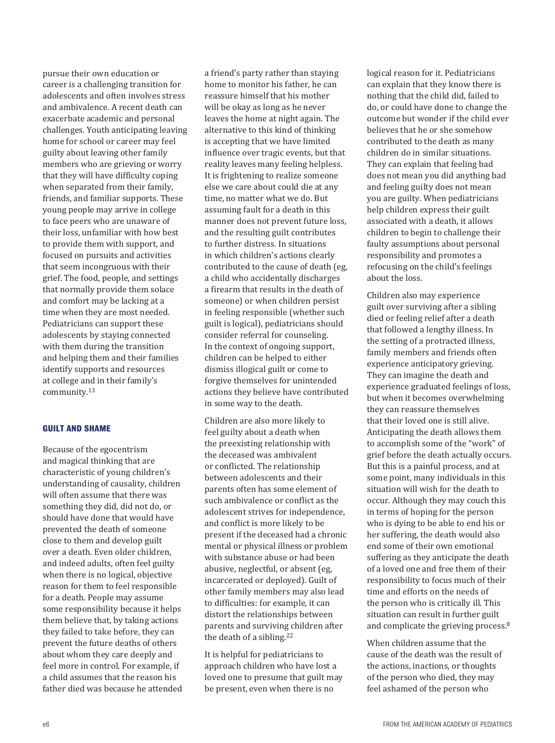pursue their own education or career is a challenging transition for adolescents and often involves stress and ambivalence. A recent death can exacerbate academic and personal challenges. Youth anticipating leaving home for school or career may feel guilty about leaving other family members who are grieving or worry that they will have difficulty coping when separated from their family, friends, and familiar supports. These young people may arrive in college to face peers who are unaware of their loss, unfamiliar with how best to provide them with support, and focused on pursuits and activities that seem incongruous with their grief. The food, people, and settings that normally provide them solace and comfort may be lacking at a time when they are most needed. Pediatricians can support these adolescents by staying connected with them during the transition and helping them and their families identify supports and resources at college and in their family's community. 13

# **GUILT AND SHAME**

Because of the egocentrism and magical thinking that are characteristic of young children's understanding of causality, children will often assume that there was something they did, did not do, or should have done that would have prevented the death of someone close to them and develop guilt over a death. Even older children, and indeed adults, often feel guilty when there is no logical, objective reason for them to feel responsible for a death. People may assume some responsibility because it helps them believe that, by taking actions they failed to take before, they can prevent the future deaths of others about whom they care deeply and feel more in control. For example, if a child assumes that the reason his father died was because he attended a friend's party rather than staying home to monitor his father, he can reassure himself that his mother will be okay as long as he never leaves the home at night again. The alternative to this kind of thinking is accepting that we have limited influence over tragic events, but that reality leaves many feeling helpless. It is frightening to realize someone else we care about could die at any time, no matter what we do. But assuming fault for a death in this manner does not prevent future loss, and the resulting guilt contributes to further distress. In situations in which children's actions clearly contributed to the cause of death (eg, a child who accidentally discharges a firearm that results in the death of someone) or when children persist in feeling responsible (whether such guilt is logical), pediatricians should consider referral for counseling. In the context of ongoing support, children can be helped to either dismiss illogical guilt or come to forgive themselves for unintended actions they believe have contributed in some way to the death.

Children are also more likely to feel guilty about a death when the preexisting relationship with the deceased was ambivalent or conflicted. The relationship between adolescents and their parents often has some element of such ambivalence or conflict as the adolescent strives for independence, and conflict is more likely to be present if the deceased had a chronic mental or physical illness or problem with substance abuse or had been abusive, neglectful, or absent (eg, incarcerated or deployed). Guilt of other family members may also lead to difficulties: for example, it can distort the relationships between parents and surviving children after the death of a sibling. 22

It is helpful for pediatricians to approach children who have lost a loved one to presume that guilt may be present, even when there is no

logical reason for it. Pediatricians can explain that they know there is nothing that the child did, failed to do, or could have done to change the outcome but wonder if the child ever believes that he or she somehow contributed to the death as many children do in similar situations. They can explain that feeling bad does not mean you did anything bad and feeling guilty does not mean you are guilty. When pediatricians help children express their guilt associated with a death, it allows children to begin to challenge their faulty assumptions about personal responsibility and promotes a refocusing on the child's feelings about the loss.

Children also may experience guilt over surviving after a sibling died or feeling relief after a death that followed a lengthy illness. In the setting of a protracted illness, family members and friends often experience anticipatory grieving. They can imagine the death and experience graduated feelings of loss, but when it becomes overwhelming they can reassure themselves that their loved one is still alive. Anticipating the death allows them to accomplish some of the "work" of grief before the death actually occurs. But this is a painful process, and at some point, many individuals in this situation will wish for the death to occur. Although they may couch this in terms of hoping for the person who is dying to be able to end his or her suffering, the death would also end some of their own emotional suffering as they anticipate the death of a loved one and free them of their responsibility to focus much of their time and efforts on the needs of the person who is critically ill. This situation can result in further guilt and complicate the grieving process. 8

When children assume that the cause of the death was the result of the actions, inactions, or thoughts of the person who died, they may feel ashamed of the person who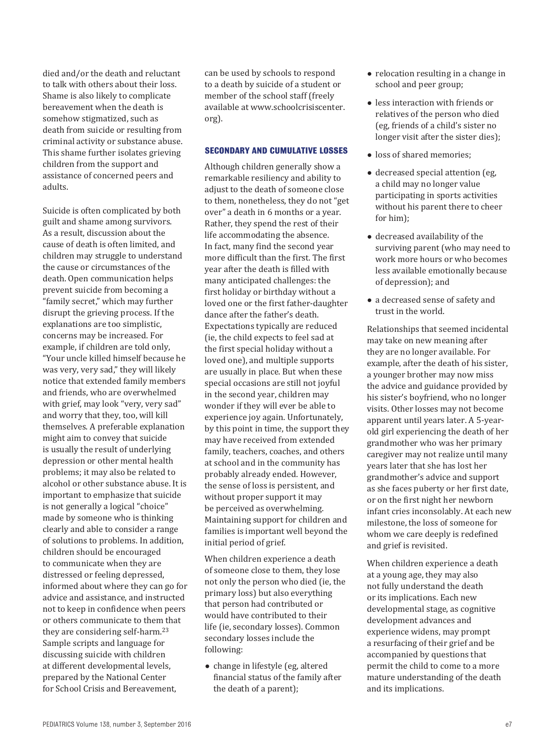died and/or the death and reluctant to talk with others about their loss. Shame is also likely to complicate bereavement when the death is somehow stigmatized, such as death from suicide or resulting from criminal activity or substance abuse. This shame further isolates grieving children from the support and assistance of concerned peers and adults.

Suicide is often complicated by both guilt and shame among survivors. As a result, discussion about the cause of death is often limited, and children may struggle to understand the cause or circumstances of the death. Open communication helps prevent suicide from becoming a "family secret," which may further disrupt the grieving process. If the explanations are too simplistic, concerns may be increased. For example, if children are told only, "Your uncle killed himself because he was very, very sad," they will likely notice that extended family members and friends, who are overwhelmed with grief, may look "very, very sad" and worry that they, too, will kill themselves. A preferable explanation might aim to convey that suicide is usually the result of underlying depression or other mental health problems; it may also be related to alcohol or other substance abuse. It is important to emphasize that suicide is not generally a logical "choice" made by someone who is thinking clearly and able to consider a range of solutions to problems. In addition, children should be encouraged to communicate when they are distressed or feeling depressed, informed about where they can go for advice and assistance, and instructed not to keep in confidence when peers or others communicate to them that they are considering self-harm.<sup>23</sup> Sample scripts and language for discussing suicide with children at different developmental levels, prepared by the National Center for School Crisis and Bereavement,

can be used by schools to respond to a death by suicide of a student or member of the school staff (freely available at www.schoolcrisiscenter. org).

#### **SECONDARY AND CUMULATIVE LOSSES**

Although children generally show a remarkable resiliency and ability to adjust to the death of someone close to them, nonetheless, they do not "get over" a death in 6 months or a year. Rather, they spend the rest of their life accommodating the absence. In fact, many find the second year more difficult than the first. The first year after the death is filled with many anticipated challenges: the first holiday or birthday without a loved one or the first father-daughter dance after the father's death. Expectations typically are reduced (ie, the child expects to feel sad at the first special holiday without a loved one), and multiple supports are usually in place. But when these special occasions are still not joyful in the second year, children may wonder if they will ever be able to experience joy again. Unfortunately, by this point in time, the support they may have received from extended family, teachers, coaches, and others at school and in the community has probably already ended. However, the sense of loss is persistent, and without proper support it may be perceived as overwhelming. Maintaining support for children and families is important well beyond the initial period of grief.

When children experience a death of someone close to them, they lose not only the person who died (ie, the primary loss) but also everything that person had contributed or would have contributed to their life (ie, secondary losses). Common secondary losses include the following:

 • change in lifestyle (eg, altered financial status of the family after the death of a parent);

- relocation resulting in a change in school and peer group;
- less interaction with friends or relatives of the person who died (eg, friends of a child's sister no longer visit after the sister dies);
- loss of shared memories;
- decreased special attention (eg, a child may no longer value participating in sports activities without his parent there to cheer for him);
- decreased availability of the surviving parent (who may need to work more hours or who becomes less available emotionally because of depression); and
- a decreased sense of safety and trust in the world.

Relationships that seemed incidental may take on new meaning after they are no longer available. For example, after the death of his sister, a younger brother may now miss the advice and guidance provided by his sister's boyfriend, who no longer visits. Other losses may not become apparent until years later. A 5-yearold girl experiencing the death of her grandmother who was her primary caregiver may not realize until many years later that she has lost her grandmother's advice and support as she faces puberty or her first date, or on the first night her newborn infant cries inconsolably. At each new milestone, the loss of someone for whom we care deeply is redefined and grief is revisited.

When children experience a death at a young age, they may also not fully understand the death or its implications. Each new developmental stage, as cognitive development advances and experience widens, may prompt a resurfacing of their grief and be accompanied by questions that permit the child to come to a more mature understanding of the death and its implications.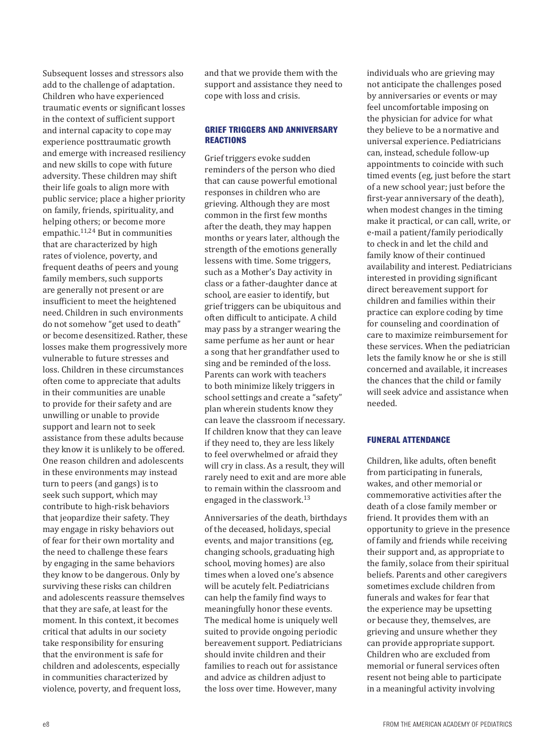Subsequent losses and stressors also add to the challenge of adaptation. Children who have experienced traumatic events or significant losses in the context of sufficient support and internal capacity to cope may experience posttraumatic growth and emerge with increased resiliency and new skills to cope with future adversity. These children may shift their life goals to align more with public service; place a higher priority on family, friends, spirituality, and helping others; or become more empathic. $11,24$  But in communities that are characterized by high rates of violence, poverty, and frequent deaths of peers and young family members, such supports are generally not present or are insufficient to meet the heightened need. Children in such environments do not somehow "get used to death" or become desensitized. Rather, these losses make them progressively more vulnerable to future stresses and loss. Children in these circumstances often come to appreciate that adults in their communities are unable to provide for their safety and are unwilling or unable to provide support and learn not to seek assistance from these adults because they know it is unlikely to be offered. One reason children and adolescents in these environments may instead turn to peers (and gangs) is to seek such support, which may contribute to high-risk behaviors that jeopardize their safety. They may engage in risky behaviors out of fear for their own mortality and the need to challenge these fears by engaging in the same behaviors they know to be dangerous. Only by surviving these risks can children and adolescents reassure themselves that they are safe, at least for the moment. In this context, it becomes critical that adults in our society take responsibility for ensuring that the environment is safe for children and adolescents, especially in communities characterized by violence, poverty, and frequent loss,

and that we provide them with the support and assistance they need to cope with loss and crisis.

# **GRIEF TRIGGERS AND ANNIVERSARY REACTIONS**

Grief triggers evoke sudden reminders of the person who died that can cause powerful emotional responses in children who are grieving. Although they are most common in the first few months after the death, they may happen months or years later, although the strength of the emotions generally lessens with time. Some triggers, such as a Mother's Day activity in class or a father-daughter dance at school, are easier to identify, but grief triggers can be ubiquitous and often difficult to anticipate. A child may pass by a stranger wearing the same perfume as her aunt or hear a song that her grandfather used to sing and be reminded of the loss. Parents can work with teachers to both minimize likely triggers in school settings and create a "safety" plan wherein students know they can leave the classroom if necessary. If children know that they can leave if they need to, they are less likely to feel overwhelmed or afraid they will cry in class. As a result, they will rarely need to exit and are more able to remain within the classroom and engaged in the classwork.<sup>13</sup>

Anniversaries of the death, birthdays of the deceased, holidays, special events, and major transitions (eg, changing schools, graduating high school, moving homes) are also times when a loved one's absence will be acutely felt. Pediatricians can help the family find ways to meaningfully honor these events. The medical home is uniquely well suited to provide ongoing periodic bereavement support. Pediatricians should invite children and their families to reach out for assistance and advice as children adjust to the loss over time. However, many

individuals who are grieving may not anticipate the challenges posed by anniversaries or events or may feel uncomfortable imposing on the physician for advice for what they believe to be a normative and universal experience. Pediatricians can, instead, schedule follow-up appointments to coincide with such timed events (eg, just before the start of a new school year; just before the first-year anniversary of the death), when modest changes in the timing make it practical, or can call, write, or e-mail a patient/family periodically to check in and let the child and family know of their continued availability and interest. Pediatricians interested in providing significant direct bereavement support for children and families within their practice can explore coding by time for counseling and coordination of care to maximize reimbursement for these services. When the pediatrician lets the family know he or she is still concerned and available, it increases the chances that the child or family will seek advice and assistance when needed.

# **FUNERAL ATTENDANCE**

Children, like adults, often benefit from participating in funerals, wakes, and other memorial or commemorative activities after the death of a close family member or friend. It provides them with an opportunity to grieve in the presence of family and friends while receiving their support and, as appropriate to the family, solace from their spiritual beliefs. Parents and other caregivers sometimes exclude children from funerals and wakes for fear that the experience may be upsetting or because they, themselves, are grieving and unsure whether they can provide appropriate support. Children who are excluded from memorial or funeral services often resent not being able to participate in a meaningful activity involving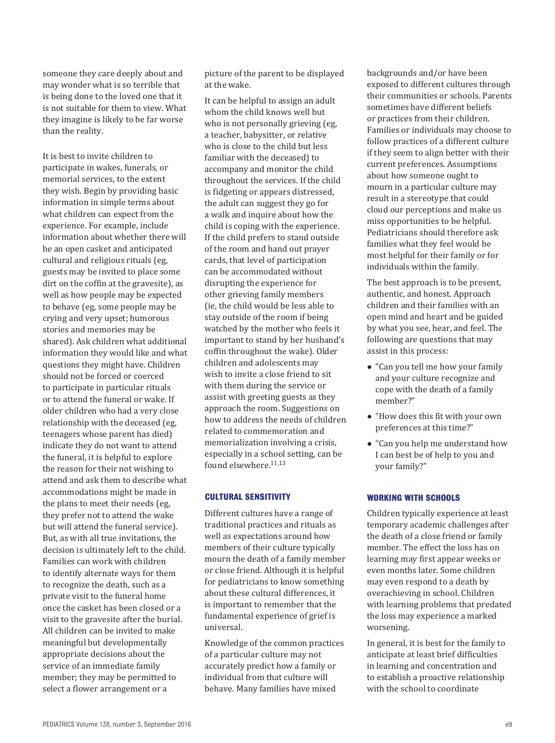someone they care deeply about and may wonder what is so terrible that is being done to the loved one that it is not suitable for them to view. What they imagine is likely to be far worse than the reality.

It is best to invite children to participate in wakes, funerals, or memorial services, to the extent they wish. Begin by providing basic information in simple terms about what children can expect from the experience. For example, include information about whether there will be an open casket and anticipated cultural and religious rituals (eg, guests may be invited to place some dirt on the coffin at the gravesite), as well as how people may be expected to behave (eg, some people may be crying and very upset; humorous stories and memories may be shared). Ask children what additional information they would like and what questions they might have. Children should not be forced or coerced to participate in particular rituals or to attend the funeral or wake. If older children who had a very close relationship with the deceased (eg, teenagers whose parent has died) indicate they do not want to attend the funeral, it is helpful to explore the reason for their not wishing to attend and ask them to describe what accommodations might be made in the plans to meet their needs (eg, they prefer not to attend the wake but will attend the funeral service). But, as with all true invitations, the decision is ultimately left to the child. Families can work with children to identify alternate ways for them to recognize the death, such as a private visit to the funeral home once the casket has been closed or a visit to the gravesite after the burial. All children can be invited to make meaningful but developmentally appropriate decisions about the service of an immediate family member; they may be permitted to select a flower arrangement or a

picture of the parent to be displayed at the wake.

It can be helpful to assign an adult whom the child knows well but who is not personally grieving (eg, a teacher, babysitter, or relative who is close to the child but less familiar with the deceased) to accompany and monitor the child throughout the services. If the child is fidgeting or appears distressed, the adult can suggest they go for a walk and inquire about how the child is coping with the experience. If the child prefers to stand outside of the room and hand out prayer cards, that level of participation can be accommodated without disrupting the experience for other grieving family members (ie, the child would be less able to stay outside of the room if being watched by the mother who feels it important to stand by her husband's coffin throughout the wake). Older children and adolescents may wish to invite a close friend to sit with them during the service or assist with greeting guests as they approach the room. Suggestions on how to address the needs of children related to commemoration and memorialization involving a crisis, especially in a school setting, can be found elsewhere.<sup>11,13</sup>

# **CULTURAL SENSITIVITY**

Different cultures have a range of traditional practices and rituals as well as expectations around how members of their culture typically mourn the death of a family member or close friend. Although it is helpful for pediatricians to know something about these cultural differences, it is important to remember that the fundamental experience of grief is universal.

Knowledge of the common practices of a particular culture may not accurately predict how a family or individual from that culture will behave. Many families have mixed

backgrounds and/or have been exposed to different cultures through their communities or schools. Parents sometimes have different beliefs or practices from their children. Families or individuals may choose to follow practices of a different culture if they seem to align better with their current preferences. Assumptions about how someone ought to mourn in a particular culture may result in a stereotype that could cloud our perceptions and make us miss opportunities to be helpful. Pediatricians should therefore ask families what they feel would be most helpful for their family or for individuals within the family.

The best approach is to be present, authentic, and honest. Approach children and their families with an open mind and heart and be guided by what you see, hear, and feel. The following are questions that may assist in this process:

- "Can you tell me how your family and your culture recognize and cope with the death of a family member?"
- "How does this fit with your own preferences at this time?"
- "Can you help me understand how I can best be of help to you and your family?"

# **WORKING WITH SCHOOLS**

Children typically experience at least temporary academic challenges after the death of a close friend or family member. The effect the loss has on learning may first appear weeks or even months later. Some children may even respond to a death by overachieving in school. Children with learning problems that predated the loss may experience a marked worsening.

In general, it is best for the family to anticipate at least brief difficulties in learning and concentration and to establish a proactive relationship with the school to coordinate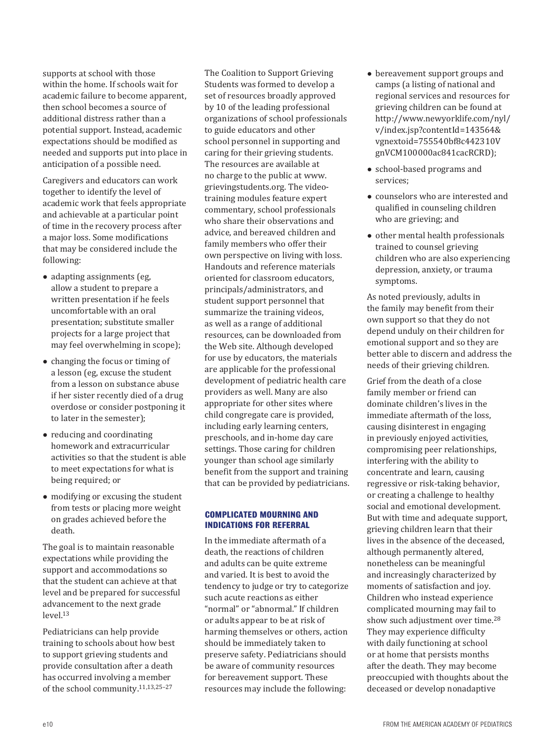supports at school with those within the home. If schools wait for academic failure to become apparent, then school becomes a source of additional distress rather than a potential support. Instead, academic expectations should be modified as needed and supports put into place in anticipation of a possible need.

Caregivers and educators can work together to identify the level of academic work that feels appropriate and achievable at a particular point of time in the recovery process after a major loss. Some modifications that may be considered include the following:

- adapting assignments (eg, allow a student to prepare a written presentation if he feels uncomfortable with an oral presentation; substitute smaller projects for a large project that may feel overwhelming in scope);
- changing the focus or timing of a lesson (eg, excuse the student from a lesson on substance abuse if her sister recently died of a drug overdose or consider postponing it to later in the semester);
- reducing and coordinating homework and extracurricular activities so that the student is able to meet expectations for what is being required; or
- modifying or excusing the student from tests or placing more weight on grades achieved before the death.

The goal is to maintain reasonable expectations while providing the support and accommodations so that the student can achieve at that level and be prepared for successful advancement to the next grade  $level<sup>13</sup>$ 

Pediatricians can help provide training to schools about how best to support grieving students and provide consultation after a death has occurred involving a member of the school community.<sup>11,13,25-27</sup>

The Coalition to Support Grieving Students was formed to develop a set of resources broadly approved by 10 of the leading professional organizations of school professionals to guide educators and other school personnel in supporting and caring for their grieving students. The resources are available at no charge to the public at www. grievingstudents. org. The videotraining modules feature expert commentary, school professionals who share their observations and advice, and bereaved children and family members who offer their own perspective on living with loss. Handouts and reference materials oriented for classroom educators, principals/administrators, and student support personnel that summarize the training videos, as well as a range of additional resources, can be downloaded from the Web site. Although developed for use by educators, the materials are applicable for the professional development of pediatric health care providers as well. Many are also appropriate for other sites where child congregate care is provided, including early learning centers, preschools, and in-home day care settings. Those caring for children younger than school age similarly benefit from the support and training that can be provided by pediatricians.

# **COMPLICATED MOURNING AND INDICATIONS FOR REFERRAL**

In the immediate aftermath of a death, the reactions of children and adults can be quite extreme and varied. It is best to avoid the tendency to judge or try to categorize such acute reactions as either "normal" or "abnormal." If children or adults appear to be at risk of harming themselves or others, action should be immediately taken to preserve safety. Pediatricians should be aware of community resources for bereavement support. These resources may include the following:

- bereavement support groups and camps (a listing of national and regional services and resources for grieving children can be found at http://www.newyorklife.com/nyl/ v/ index. jsp? contentId= 143564& vgnextoid= 755540bf8c442310V gnVCM100000ac841cacRCRD);
- school-based programs and services;
- counselors who are interested and qualified in counseling children who are grieving; and
- other mental health professionals trained to counsel grieving children who are also experiencing depression, anxiety, or trauma symptoms.

As noted previously, adults in the family may benefit from their own support so that they do not depend unduly on their children for emotional support and so they are better able to discern and address the needs of their grieving children.

Grief from the death of a close family member or friend can dominate children's lives in the immediate aftermath of the loss, causing disinterest in engaging in previously enjoyed activities, compromising peer relationships, interfering with the ability to concentrate and learn, causing regressive or risk-taking behavior, or creating a challenge to healthy social and emotional development. But with time and adequate support, grieving children learn that their lives in the absence of the deceased, although permanently altered, nonetheless can be meaningful and increasingly characterized by moments of satisfaction and joy. Children who instead experience complicated mourning may fail to show such adjustment over time.<sup>28</sup> They may experience difficulty with daily functioning at school or at home that persists months after the death. They may become preoccupied with thoughts about the deceased or develop nonadaptive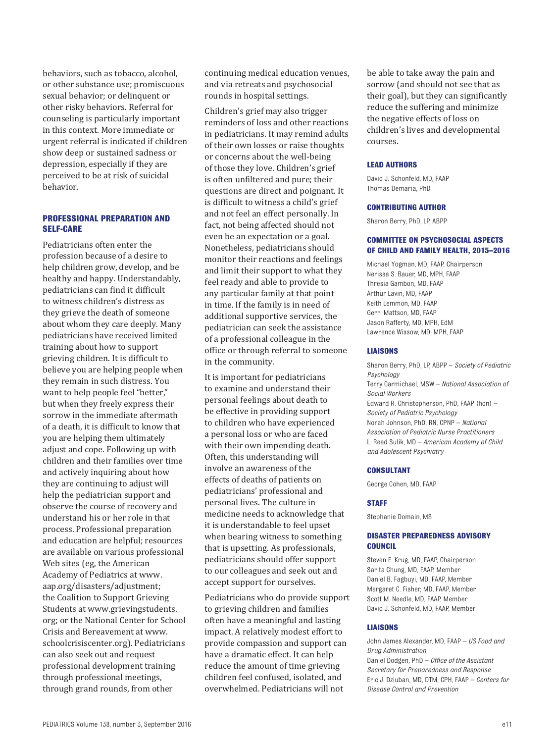behaviors, such as tobacco, alcohol, or other substance use; promiscuous sexual behavior; or delinquent or other risky behaviors. Referral for counseling is particularly important in this context. More immediate or urgent referral is indicated if children show deep or sustained sadness or depression, especially if they are perceived to be at risk of suicidal behavior.

# **PROFESSIONAL PREPARATION AND SELF-CARE**

Pediatricians often enter the profession because of a desire to help children grow, develop, and be healthy and happy. Understandably, pediatricians can find it difficult to witness children's distress as they grieve the death of someone about whom they care deeply. Many pediatricians have received limited training about how to support grieving children. It is difficult to believe you are helping people when they remain in such distress. You want to help people feel "better," but when they freely express their sorrow in the immediate aftermath of a death, it is difficult to know that you are helping them ultimately adjust and cope. Following up with children and their families over time and actively inquiring about how they are continuing to adjust will help the pediatrician support and observe the course of recovery and understand his or her role in that process. Professional preparation and education are helpful; resources are available on various professional Web sites (eg, the American Academy of Pediatrics at www. aap. org/ disasters/ adjustment; the Coalition to Support Grieving Students at www.grievingstudents. org; or the National Center for School Crisis and Bereavement at www. schoolcrisiscenter.org). Pediatricians can also seek out and request professional development training through professional meetings, through grand rounds, from other

continuing medical education venues, and via retreats and psychosocial rounds in hospital settings.

Children's grief may also trigger reminders of loss and other reactions in pediatricians. It may remind adults of their own losses or raise thoughts or concerns about the well-being of those they love. Children's grief is often unfiltered and pure; their questions are direct and poignant. It is difficult to witness a child's grief and not feel an effect personally. In fact, not being affected should not even be an expectation or a goal. Nonetheless, pediatricians should monitor their reactions and feelings and limit their support to what they feel ready and able to provide to any particular family at that point in time. If the family is in need of additional supportive services, the pediatrician can seek the assistance of a professional colleague in the office or through referral to someone in the community.

It is important for pediatricians to examine and understand their personal feelings about death to be effective in providing support to children who have experienced a personal loss or who are faced with their own impending death. Often, this understanding will involve an awareness of the effects of deaths of patients on pediatricians' professional and personal lives. The culture in medicine needs to acknowledge that it is understandable to feel upset when bearing witness to something that is upsetting. As professionals, pediatricians should offer support to our colleagues and seek out and accept support for ourselves.

Pediatricians who do provide support to grieving children and families often have a meaningful and lasting impact. A relatively modest effort to provide compassion and support can have a dramatic effect. It can help reduce the amount of time grieving children feel confused, isolated, and overwhelmed. Pediatricians will not

be able to take away the pain and sorrow (and should not see that as their goal), but they can significantly reduce the suffering and minimize the negative effects of loss on children's lives and developmental courses.

#### **LEAD AUTHORS**

David J. Schonfeld, MD, FAAP Thomas Demaria, PhD

#### **CONTRIBUTING AUTHOR**

Sharon Berry, PhD, LP, ABPP

#### **COMMITTEE ON PSYCHOSOCIAL ASPECTS OF CHILD AND FAMILY HEALTH, 2015–2016**

Michael Yogman, MD, FAAP, Chairperson Nerissa S. Bauer, MD, MPH, FAAP Thresia Gambon, MD, FAAP Arthur Lavin, MD, FAAP Keith Lemmon, MD, FAAP Gerri Mattson, MD, FAAP Jason Rafferty, MD, MPH, EdM Lawrence Wissow, MD, MPH, FAAP

#### **LIAISONS**

Sharon Berry, PhD, LP, ABPP – *Society of Pediatric Psychology* Terry Carmichael, MSW – *National Association of Social Workers* Edward R. Christopherson, PhD, FAAP (hon) – *Society of Pediatric Psychology* Norah Johnson, PhD, RN, CPNP – *National Association of Pediatric Nurse Practitioners* L. Read Sulik, MD – *American Academy of Child and Adolescent Psychiatry*

#### **CONSULTANT**

George Cohen, MD, FAAP

#### **STAFF**

Stephanie Domain, MS

#### **DISASTER PREPAREDNESS ADVISORY COUNCIL**

Steven E. Krug, MD, FAAP, Chairperson Sarita Chung, MD, FAAP, Member Daniel B. Fagbuyi, MD, FAAP, Member Margaret C. Fisher, MD, FAAP, Member Scott M. Needle, MD, FAAP, Member David J. Schonfeld, MD, FAAP, Member

# **LIAISONS**

John James Alexander, MD, FAAP – *US Food and Drug Administration* Daniel Dodgen, PhD - Office of the Assistant *Secretary for Preparedness and Response* Eric J. Dziuban, MD, DTM, CPH, FAAP – *Centers for Disease Control and Prevention*